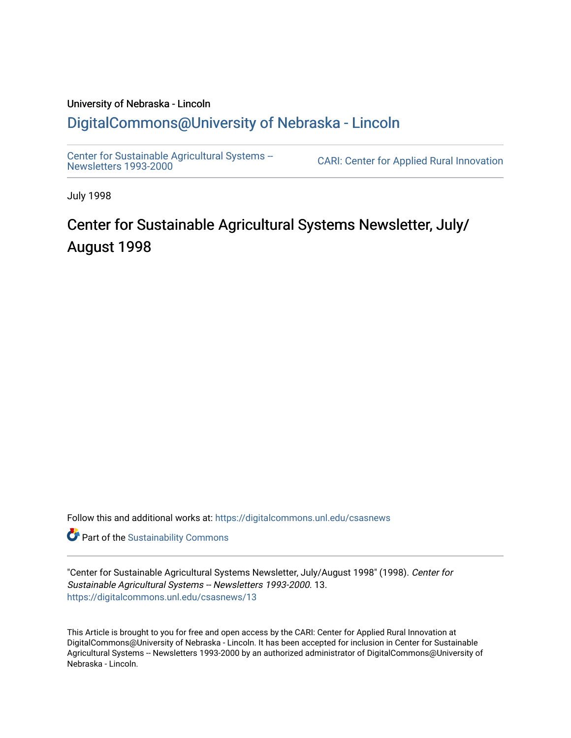### University of Nebraska - Lincoln [DigitalCommons@University of Nebraska - Lincoln](https://digitalcommons.unl.edu/)

[Center for Sustainable Agricultural Systems --](https://digitalcommons.unl.edu/csasnews)<br>Newsletters 1993-2000

CARI: Center for Applied Rural Innovation

July 1998

# Center for Sustainable Agricultural Systems Newsletter, July/ August 1998

Follow this and additional works at: [https://digitalcommons.unl.edu/csasnews](https://digitalcommons.unl.edu/csasnews?utm_source=digitalcommons.unl.edu%2Fcsasnews%2F13&utm_medium=PDF&utm_campaign=PDFCoverPages) 

**Part of the [Sustainability Commons](http://network.bepress.com/hgg/discipline/1031?utm_source=digitalcommons.unl.edu%2Fcsasnews%2F13&utm_medium=PDF&utm_campaign=PDFCoverPages)** 

"Center for Sustainable Agricultural Systems Newsletter, July/August 1998" (1998). Center for Sustainable Agricultural Systems -- Newsletters 1993-2000. 13. [https://digitalcommons.unl.edu/csasnews/13](https://digitalcommons.unl.edu/csasnews/13?utm_source=digitalcommons.unl.edu%2Fcsasnews%2F13&utm_medium=PDF&utm_campaign=PDFCoverPages) 

This Article is brought to you for free and open access by the CARI: Center for Applied Rural Innovation at DigitalCommons@University of Nebraska - Lincoln. It has been accepted for inclusion in Center for Sustainable Agricultural Systems -- Newsletters 1993-2000 by an authorized administrator of DigitalCommons@University of Nebraska - Lincoln.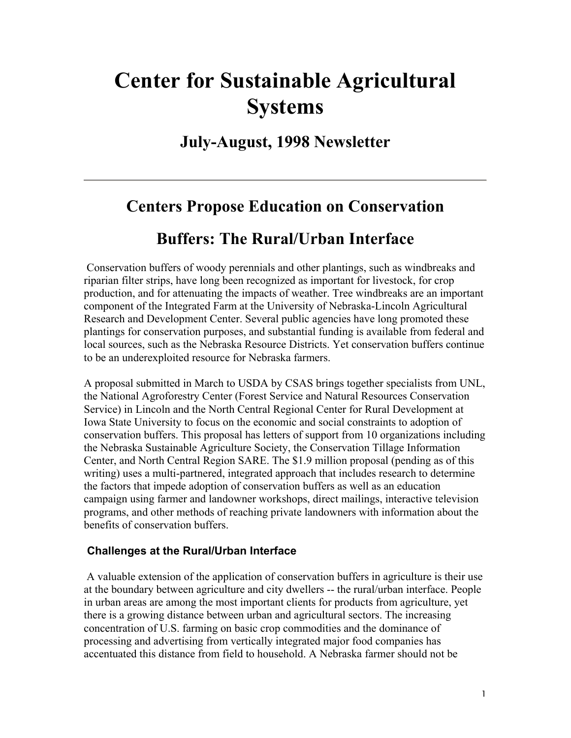# **Center for Sustainable Agricultural Systems**

## **July-August, 1998 Newsletter**

# **Centers Propose Education on Conservation**

## **Buffers: The Rural/Urban Interface**

 Conservation buffers of woody perennials and other plantings, such as windbreaks and riparian filter strips, have long been recognized as important for livestock, for crop production, and for attenuating the impacts of weather. Tree windbreaks are an important component of the Integrated Farm at the University of Nebraska-Lincoln Agricultural Research and Development Center. Several public agencies have long promoted these plantings for conservation purposes, and substantial funding is available from federal and local sources, such as the Nebraska Resource Districts. Yet conservation buffers continue to be an underexploited resource for Nebraska farmers.

A proposal submitted in March to USDA by CSAS brings together specialists from UNL, the National Agroforestry Center (Forest Service and Natural Resources Conservation Service) in Lincoln and the North Central Regional Center for Rural Development at Iowa State University to focus on the economic and social constraints to adoption of conservation buffers. This proposal has letters of support from 10 organizations including the Nebraska Sustainable Agriculture Society, the Conservation Tillage Information Center, and North Central Region SARE. The \$1.9 million proposal (pending as of this writing) uses a multi-partnered, integrated approach that includes research to determine the factors that impede adoption of conservation buffers as well as an education campaign using farmer and landowner workshops, direct mailings, interactive television programs, and other methods of reaching private landowners with information about the benefits of conservation buffers.

#### **Challenges at the Rural/Urban Interface**

 A valuable extension of the application of conservation buffers in agriculture is their use at the boundary between agriculture and city dwellers -- the rural/urban interface. People in urban areas are among the most important clients for products from agriculture, yet there is a growing distance between urban and agricultural sectors. The increasing concentration of U.S. farming on basic crop commodities and the dominance of processing and advertising from vertically integrated major food companies has accentuated this distance from field to household. A Nebraska farmer should not be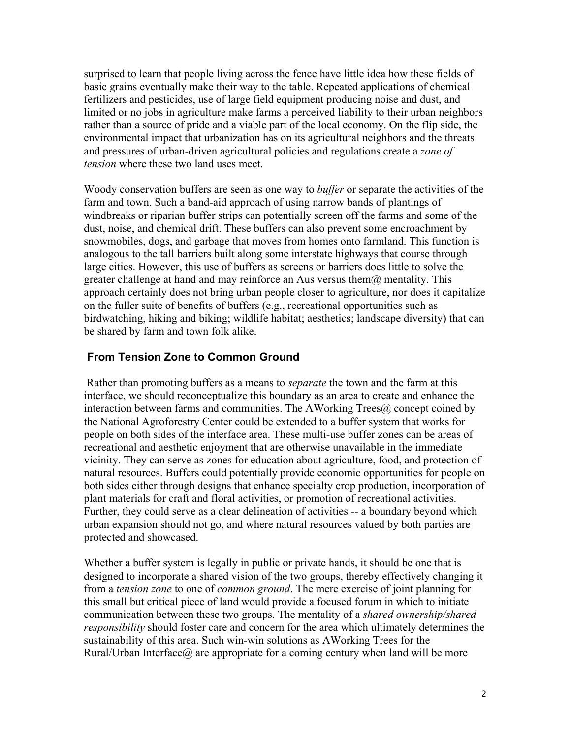surprised to learn that people living across the fence have little idea how these fields of basic grains eventually make their way to the table. Repeated applications of chemical fertilizers and pesticides, use of large field equipment producing noise and dust, and limited or no jobs in agriculture make farms a perceived liability to their urban neighbors rather than a source of pride and a viable part of the local economy. On the flip side, the environmental impact that urbanization has on its agricultural neighbors and the threats and pressures of urban-driven agricultural policies and regulations create a *zone of tension* where these two land uses meet.

Woody conservation buffers are seen as one way to *buffer* or separate the activities of the farm and town. Such a band-aid approach of using narrow bands of plantings of windbreaks or riparian buffer strips can potentially screen off the farms and some of the dust, noise, and chemical drift. These buffers can also prevent some encroachment by snowmobiles, dogs, and garbage that moves from homes onto farmland. This function is analogous to the tall barriers built along some interstate highways that course through large cities. However, this use of buffers as screens or barriers does little to solve the greater challenge at hand and may reinforce an Aus versus them $\omega$  mentality. This approach certainly does not bring urban people closer to agriculture, nor does it capitalize on the fuller suite of benefits of buffers (e.g., recreational opportunities such as birdwatching, hiking and biking; wildlife habitat; aesthetics; landscape diversity) that can be shared by farm and town folk alike.

#### **From Tension Zone to Common Ground**

 Rather than promoting buffers as a means to *separate* the town and the farm at this interface, we should reconceptualize this boundary as an area to create and enhance the interaction between farms and communities. The AWorking Trees@ concept coined by the National Agroforestry Center could be extended to a buffer system that works for people on both sides of the interface area. These multi-use buffer zones can be areas of recreational and aesthetic enjoyment that are otherwise unavailable in the immediate vicinity. They can serve as zones for education about agriculture, food, and protection of natural resources. Buffers could potentially provide economic opportunities for people on both sides either through designs that enhance specialty crop production, incorporation of plant materials for craft and floral activities, or promotion of recreational activities. Further, they could serve as a clear delineation of activities -- a boundary beyond which urban expansion should not go, and where natural resources valued by both parties are protected and showcased.

Whether a buffer system is legally in public or private hands, it should be one that is designed to incorporate a shared vision of the two groups, thereby effectively changing it from a *tension zone* to one of *common ground*. The mere exercise of joint planning for this small but critical piece of land would provide a focused forum in which to initiate communication between these two groups. The mentality of a *shared ownership/shared responsibility* should foster care and concern for the area which ultimately determines the sustainability of this area. Such win-win solutions as AWorking Trees for the Rural/Urban Interface $\omega$  are appropriate for a coming century when land will be more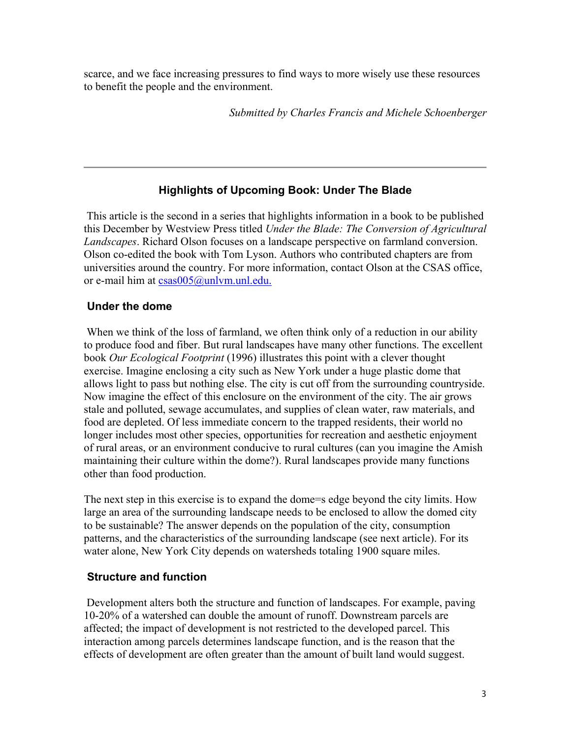scarce, and we face increasing pressures to find ways to more wisely use these resources to benefit the people and the environment.

*Submitted by Charles Francis and Michele Schoenberger*

#### **Highlights of Upcoming Book: Under The Blade**

 This article is the second in a series that highlights information in a book to be published this December by Westview Press titled *Under the Blade: The Conversion of Agricultural Landscapes*. Richard Olson focuses on a landscape perspective on farmland conversion. Olson co-edited the book with Tom Lyson. Authors who contributed chapters are from universities around the country. For more information, contact Olson at the CSAS office, or e-mail him at csas005@unlvm.unl.edu.

#### **Under the dome**

When we think of the loss of farmland, we often think only of a reduction in our ability to produce food and fiber. But rural landscapes have many other functions. The excellent book *Our Ecological Footprint* (1996) illustrates this point with a clever thought exercise. Imagine enclosing a city such as New York under a huge plastic dome that allows light to pass but nothing else. The city is cut off from the surrounding countryside. Now imagine the effect of this enclosure on the environment of the city. The air grows stale and polluted, sewage accumulates, and supplies of clean water, raw materials, and food are depleted. Of less immediate concern to the trapped residents, their world no longer includes most other species, opportunities for recreation and aesthetic enjoyment of rural areas, or an environment conducive to rural cultures (can you imagine the Amish maintaining their culture within the dome?). Rural landscapes provide many functions other than food production.

The next step in this exercise is to expand the dome=s edge beyond the city limits. How large an area of the surrounding landscape needs to be enclosed to allow the domed city to be sustainable? The answer depends on the population of the city, consumption patterns, and the characteristics of the surrounding landscape (see next article). For its water alone, New York City depends on watersheds totaling 1900 square miles.

#### **Structure and function**

 Development alters both the structure and function of landscapes. For example, paving 10-20% of a watershed can double the amount of runoff. Downstream parcels are affected; the impact of development is not restricted to the developed parcel. This interaction among parcels determines landscape function, and is the reason that the effects of development are often greater than the amount of built land would suggest.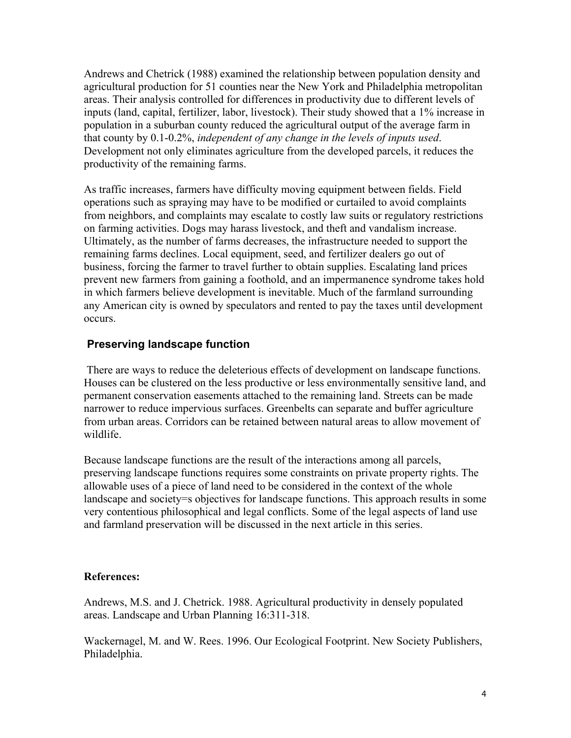Andrews and Chetrick (1988) examined the relationship between population density and agricultural production for 51 counties near the New York and Philadelphia metropolitan areas. Their analysis controlled for differences in productivity due to different levels of inputs (land, capital, fertilizer, labor, livestock). Their study showed that a 1% increase in population in a suburban county reduced the agricultural output of the average farm in that county by 0.1-0.2%, *independent of any change in the levels of inputs used*. Development not only eliminates agriculture from the developed parcels, it reduces the productivity of the remaining farms.

As traffic increases, farmers have difficulty moving equipment between fields. Field operations such as spraying may have to be modified or curtailed to avoid complaints from neighbors, and complaints may escalate to costly law suits or regulatory restrictions on farming activities. Dogs may harass livestock, and theft and vandalism increase. Ultimately, as the number of farms decreases, the infrastructure needed to support the remaining farms declines. Local equipment, seed, and fertilizer dealers go out of business, forcing the farmer to travel further to obtain supplies. Escalating land prices prevent new farmers from gaining a foothold, and an impermanence syndrome takes hold in which farmers believe development is inevitable. Much of the farmland surrounding any American city is owned by speculators and rented to pay the taxes until development occurs.

#### **Preserving landscape function**

 There are ways to reduce the deleterious effects of development on landscape functions. Houses can be clustered on the less productive or less environmentally sensitive land, and permanent conservation easements attached to the remaining land. Streets can be made narrower to reduce impervious surfaces. Greenbelts can separate and buffer agriculture from urban areas. Corridors can be retained between natural areas to allow movement of wildlife.

Because landscape functions are the result of the interactions among all parcels, preserving landscape functions requires some constraints on private property rights. The allowable uses of a piece of land need to be considered in the context of the whole landscape and society=s objectives for landscape functions. This approach results in some very contentious philosophical and legal conflicts. Some of the legal aspects of land use and farmland preservation will be discussed in the next article in this series.

#### **References:**

Andrews, M.S. and J. Chetrick. 1988. Agricultural productivity in densely populated areas. Landscape and Urban Planning 16:311-318.

Wackernagel, M. and W. Rees. 1996. Our Ecological Footprint. New Society Publishers, Philadelphia.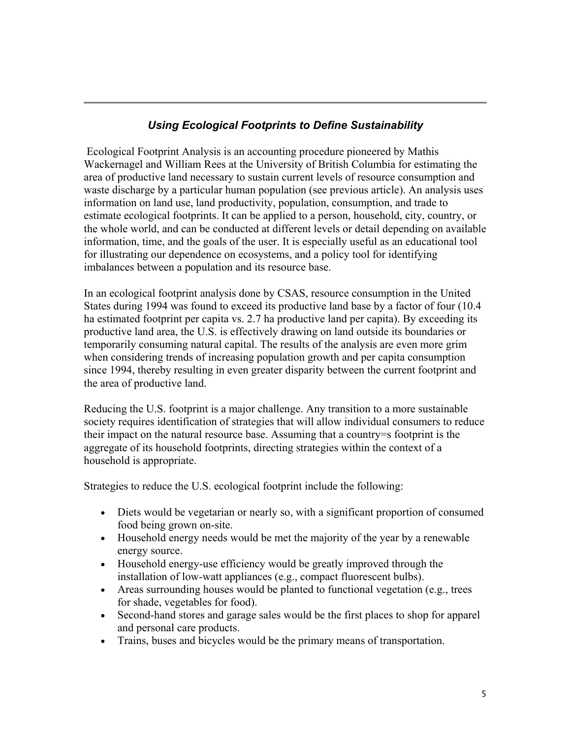#### *Using Ecological Footprints to Define Sustainability*

 Ecological Footprint Analysis is an accounting procedure pioneered by Mathis Wackernagel and William Rees at the University of British Columbia for estimating the area of productive land necessary to sustain current levels of resource consumption and waste discharge by a particular human population (see previous article). An analysis uses information on land use, land productivity, population, consumption, and trade to estimate ecological footprints. It can be applied to a person, household, city, country, or the whole world, and can be conducted at different levels or detail depending on available information, time, and the goals of the user. It is especially useful as an educational tool for illustrating our dependence on ecosystems, and a policy tool for identifying imbalances between a population and its resource base.

In an ecological footprint analysis done by CSAS, resource consumption in the United States during 1994 was found to exceed its productive land base by a factor of four (10.4 ha estimated footprint per capita vs. 2.7 ha productive land per capita). By exceeding its productive land area, the U.S. is effectively drawing on land outside its boundaries or temporarily consuming natural capital. The results of the analysis are even more grim when considering trends of increasing population growth and per capita consumption since 1994, thereby resulting in even greater disparity between the current footprint and the area of productive land.

Reducing the U.S. footprint is a major challenge. Any transition to a more sustainable society requires identification of strategies that will allow individual consumers to reduce their impact on the natural resource base. Assuming that a country=s footprint is the aggregate of its household footprints, directing strategies within the context of a household is appropriate.

Strategies to reduce the U.S. ecological footprint include the following:

- Diets would be vegetarian or nearly so, with a significant proportion of consumed food being grown on-site.
- Household energy needs would be met the majority of the year by a renewable energy source.
- Household energy-use efficiency would be greatly improved through the installation of low-watt appliances (e.g., compact fluorescent bulbs).
- Areas surrounding houses would be planted to functional vegetation (e.g., trees for shade, vegetables for food).
- Second-hand stores and garage sales would be the first places to shop for apparel and personal care products.
- Trains, buses and bicycles would be the primary means of transportation.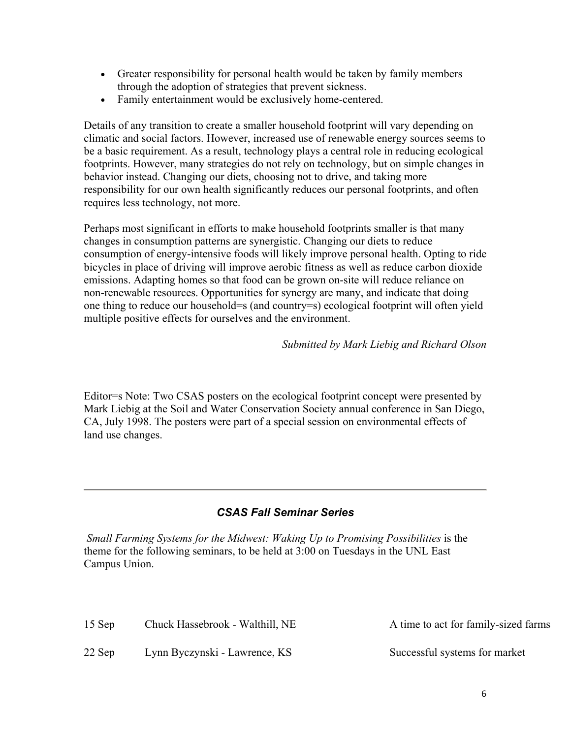- Greater responsibility for personal health would be taken by family members through the adoption of strategies that prevent sickness.
- Family entertainment would be exclusively home-centered.

Details of any transition to create a smaller household footprint will vary depending on climatic and social factors. However, increased use of renewable energy sources seems to be a basic requirement. As a result, technology plays a central role in reducing ecological footprints. However, many strategies do not rely on technology, but on simple changes in behavior instead. Changing our diets, choosing not to drive, and taking more responsibility for our own health significantly reduces our personal footprints, and often requires less technology, not more.

Perhaps most significant in efforts to make household footprints smaller is that many changes in consumption patterns are synergistic. Changing our diets to reduce consumption of energy-intensive foods will likely improve personal health. Opting to ride bicycles in place of driving will improve aerobic fitness as well as reduce carbon dioxide emissions. Adapting homes so that food can be grown on-site will reduce reliance on non-renewable resources. Opportunities for synergy are many, and indicate that doing one thing to reduce our household=s (and country=s) ecological footprint will often yield multiple positive effects for ourselves and the environment.

*Submitted by Mark Liebig and Richard Olson*

Editor=s Note: Two CSAS posters on the ecological footprint concept were presented by Mark Liebig at the Soil and Water Conservation Society annual conference in San Diego, CA, July 1998. The posters were part of a special session on environmental effects of land use changes.

#### *CSAS Fall Seminar Series*

*Small Farming Systems for the Midwest: Waking Up to Promising Possibilities* is the theme for the following seminars, to be held at 3:00 on Tuesdays in the UNL East Campus Union.

15 Sep Chuck Hassebrook - Walthill, NE A time to act for family-sized farms 22 Sep Lynn Byczynski - Lawrence, KS Successful systems for market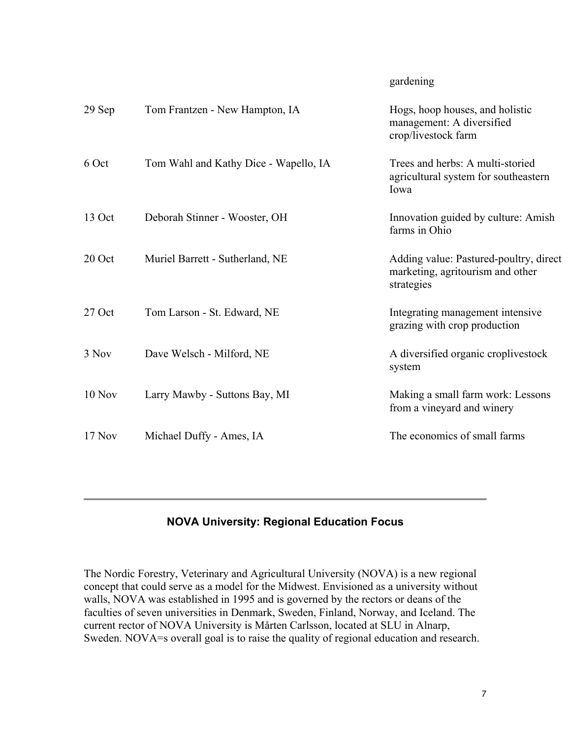#### gardening

| 29 Sep   | Tom Frantzen - New Hampton, IA        | Hogs, hoop houses, and holistic<br>management: A diversified<br>crop/livestock farm      |
|----------|---------------------------------------|------------------------------------------------------------------------------------------|
| 6 Oct    | Tom Wahl and Kathy Dice - Wapello, IA | Trees and herbs: A multi-storied<br>agricultural system for southeastern<br>Iowa         |
| 13 Oct   | Deborah Stinner - Wooster, OH         | Innovation guided by culture: Amish<br>farms in Ohio                                     |
| 20 Oct   | Muriel Barrett - Sutherland, NE       | Adding value: Pastured-poultry, direct<br>marketing, agritourism and other<br>strategies |
| 27 Oct   | Tom Larson - St. Edward, NE           | Integrating management intensive<br>grazing with crop production                         |
| 3 Nov    | Dave Welsch - Milford, NE             | A diversified organic croplivestock<br>system                                            |
| $10$ Nov | Larry Mawby - Suttons Bay, MI         | Making a small farm work: Lessons<br>from a vineyard and winery                          |
| 17 Nov   | Michael Duffy - Ames, IA              | The economics of small farms                                                             |
|          |                                       |                                                                                          |

#### **NOVA University: Regional Education Focus**

The Nordic Forestry, Veterinary and Agricultural University (NOVA) is a new regional concept that could serve as a model for the Midwest. Envisioned as a university without walls, NOVA was established in 1995 and is governed by the rectors or deans of the faculties of seven universities in Denmark, Sweden, Finland, Norway, and Iceland. The current rector of NOVA University is Mårten Carlsson, located at SLU in Alnarp, Sweden. NOVA=s overall goal is to raise the quality of regional education and research.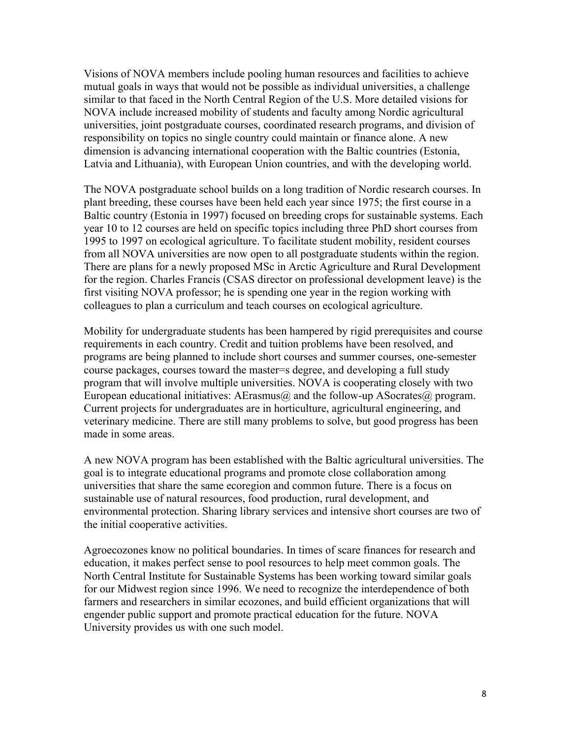Visions of NOVA members include pooling human resources and facilities to achieve mutual goals in ways that would not be possible as individual universities, a challenge similar to that faced in the North Central Region of the U.S. More detailed visions for NOVA include increased mobility of students and faculty among Nordic agricultural universities, joint postgraduate courses, coordinated research programs, and division of responsibility on topics no single country could maintain or finance alone. A new dimension is advancing international cooperation with the Baltic countries (Estonia, Latvia and Lithuania), with European Union countries, and with the developing world.

The NOVA postgraduate school builds on a long tradition of Nordic research courses. In plant breeding, these courses have been held each year since 1975; the first course in a Baltic country (Estonia in 1997) focused on breeding crops for sustainable systems. Each year 10 to 12 courses are held on specific topics including three PhD short courses from 1995 to 1997 on ecological agriculture. To facilitate student mobility, resident courses from all NOVA universities are now open to all postgraduate students within the region. There are plans for a newly proposed MSc in Arctic Agriculture and Rural Development for the region. Charles Francis (CSAS director on professional development leave) is the first visiting NOVA professor; he is spending one year in the region working with colleagues to plan a curriculum and teach courses on ecological agriculture.

Mobility for undergraduate students has been hampered by rigid prerequisites and course requirements in each country. Credit and tuition problems have been resolved, and programs are being planned to include short courses and summer courses, one-semester course packages, courses toward the master=s degree, and developing a full study program that will involve multiple universities. NOVA is cooperating closely with two European educational initiatives: AErasmus $\omega$  and the follow-up ASocrates $\omega$  program. Current projects for undergraduates are in horticulture, agricultural engineering, and veterinary medicine. There are still many problems to solve, but good progress has been made in some areas.

A new NOVA program has been established with the Baltic agricultural universities. The goal is to integrate educational programs and promote close collaboration among universities that share the same ecoregion and common future. There is a focus on sustainable use of natural resources, food production, rural development, and environmental protection. Sharing library services and intensive short courses are two of the initial cooperative activities.

Agroecozones know no political boundaries. In times of scare finances for research and education, it makes perfect sense to pool resources to help meet common goals. The North Central Institute for Sustainable Systems has been working toward similar goals for our Midwest region since 1996. We need to recognize the interdependence of both farmers and researchers in similar ecozones, and build efficient organizations that will engender public support and promote practical education for the future. NOVA University provides us with one such model.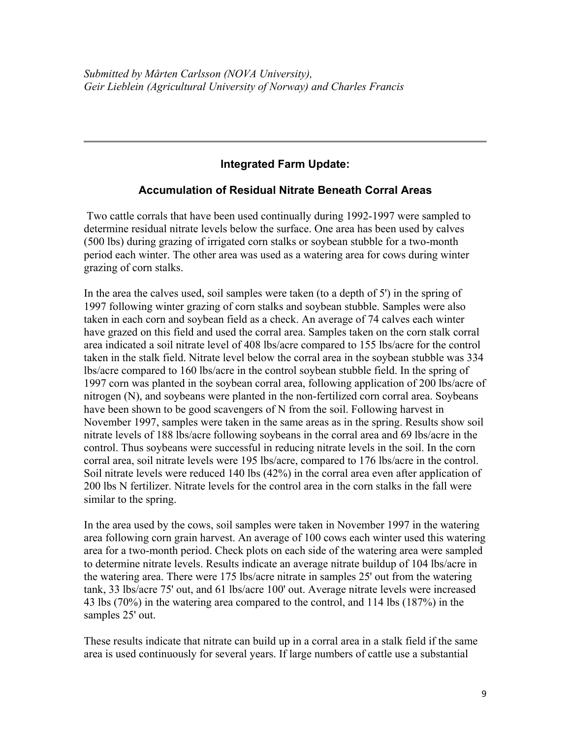#### **Integrated Farm Update:**

#### **Accumulation of Residual Nitrate Beneath Corral Areas**

Two cattle corrals that have been used continually during 1992-1997 were sampled to determine residual nitrate levels below the surface. One area has been used by calves (500 lbs) during grazing of irrigated corn stalks or soybean stubble for a two-month period each winter. The other area was used as a watering area for cows during winter grazing of corn stalks.

In the area the calves used, soil samples were taken (to a depth of 5') in the spring of 1997 following winter grazing of corn stalks and soybean stubble. Samples were also taken in each corn and soybean field as a check. An average of 74 calves each winter have grazed on this field and used the corral area. Samples taken on the corn stalk corral area indicated a soil nitrate level of 408 lbs/acre compared to 155 lbs/acre for the control taken in the stalk field. Nitrate level below the corral area in the soybean stubble was 334 lbs/acre compared to 160 lbs/acre in the control soybean stubble field. In the spring of 1997 corn was planted in the soybean corral area, following application of 200 lbs/acre of nitrogen (N), and soybeans were planted in the non-fertilized corn corral area. Soybeans have been shown to be good scavengers of N from the soil. Following harvest in November 1997, samples were taken in the same areas as in the spring. Results show soil nitrate levels of 188 lbs/acre following soybeans in the corral area and 69 lbs/acre in the control. Thus soybeans were successful in reducing nitrate levels in the soil. In the corn corral area, soil nitrate levels were 195 lbs/acre, compared to 176 lbs/acre in the control. Soil nitrate levels were reduced 140 lbs (42%) in the corral area even after application of 200 lbs N fertilizer. Nitrate levels for the control area in the corn stalks in the fall were similar to the spring.

In the area used by the cows, soil samples were taken in November 1997 in the watering area following corn grain harvest. An average of 100 cows each winter used this watering area for a two-month period. Check plots on each side of the watering area were sampled to determine nitrate levels. Results indicate an average nitrate buildup of 104 lbs/acre in the watering area. There were 175 lbs/acre nitrate in samples 25' out from the watering tank, 33 lbs/acre 75' out, and 61 lbs/acre 100' out. Average nitrate levels were increased 43 lbs (70%) in the watering area compared to the control, and 114 lbs (187%) in the samples 25' out.

These results indicate that nitrate can build up in a corral area in a stalk field if the same area is used continuously for several years. If large numbers of cattle use a substantial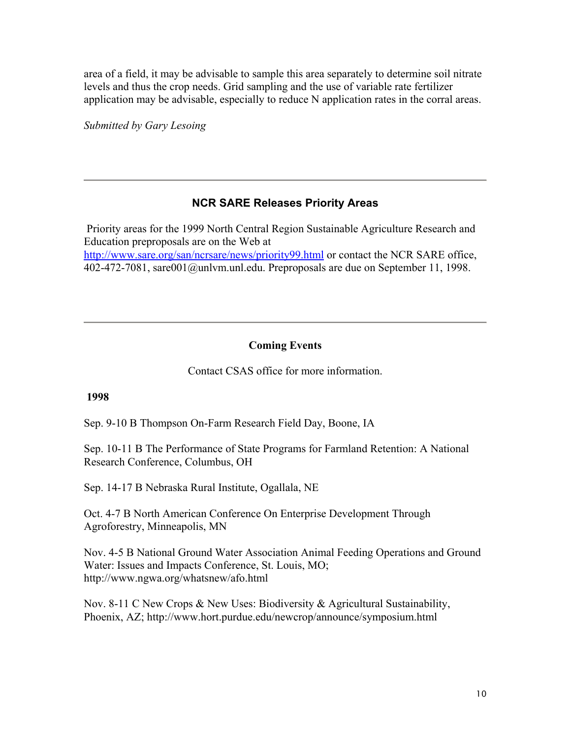area of a field, it may be advisable to sample this area separately to determine soil nitrate levels and thus the crop needs. Grid sampling and the use of variable rate fertilizer application may be advisable, especially to reduce N application rates in the corral areas.

*Submitted by Gary Lesoing* 

#### **NCR SARE Releases Priority Areas**

 Priority areas for the 1999 North Central Region Sustainable Agriculture Research and Education preproposals are on the Web at http://www.sare.org/san/ncrsare/news/priority99.html or contact the NCR SARE office, 402-472-7081, sare001@unlvm.unl.edu. Preproposals are due on September 11, 1998.

#### **Coming Events**

Contact CSAS office for more information.

#### **1998**

Sep. 9-10 B Thompson On-Farm Research Field Day, Boone, IA

Sep. 10-11 B The Performance of State Programs for Farmland Retention: A National Research Conference, Columbus, OH

Sep. 14-17 B Nebraska Rural Institute, Ogallala, NE

Oct. 4-7 B North American Conference On Enterprise Development Through Agroforestry, Minneapolis, MN

Nov. 4-5 B National Ground Water Association Animal Feeding Operations and Ground Water: Issues and Impacts Conference, St. Louis, MO; http://www.ngwa.org/whatsnew/afo.html

Nov. 8-11 C New Crops & New Uses: Biodiversity & Agricultural Sustainability, Phoenix, AZ; http://www.hort.purdue.edu/newcrop/announce/symposium.html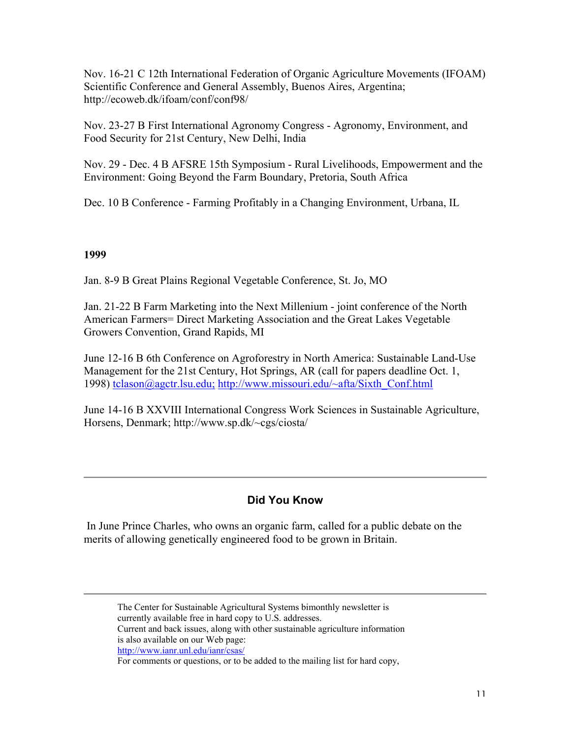Nov. 16-21 C 12th International Federation of Organic Agriculture Movements (IFOAM) Scientific Conference and General Assembly, Buenos Aires, Argentina; http://ecoweb.dk/ifoam/conf/conf98/

Nov. 23-27 B First International Agronomy Congress - Agronomy, Environment, and Food Security for 21st Century, New Delhi, India

Nov. 29 - Dec. 4 B AFSRE 15th Symposium - Rural Livelihoods, Empowerment and the Environment: Going Beyond the Farm Boundary, Pretoria, South Africa

Dec. 10 B Conference - Farming Profitably in a Changing Environment, Urbana, IL

#### **1999**

Jan. 8-9 B Great Plains Regional Vegetable Conference, St. Jo, MO

Jan. 21-22 B Farm Marketing into the Next Millenium - joint conference of the North American Farmers= Direct Marketing Association and the Great Lakes Vegetable Growers Convention, Grand Rapids, MI

June 12-16 B 6th Conference on Agroforestry in North America: Sustainable Land-Use Management for the 21st Century, Hot Springs, AR (call for papers deadline Oct. 1, 1998) tclason@agctr.lsu.edu; http://www.missouri.edu/~afta/Sixth\_Conf.html

June 14-16 B XXVIII International Congress Work Sciences in Sustainable Agriculture, Horsens, Denmark; http://www.sp.dk/~cgs/ciosta/

#### **Did You Know**

 In June Prince Charles, who owns an organic farm, called for a public debate on the merits of allowing genetically engineered food to be grown in Britain.

The Center for Sustainable Agricultural Systems bimonthly newsletter is currently available free in hard copy to U.S. addresses. Current and back issues, along with other sustainable agriculture information is also available on our Web page: http://www.ianr.unl.edu/ianr/csas/

For comments or questions, or to be added to the mailing list for hard copy,